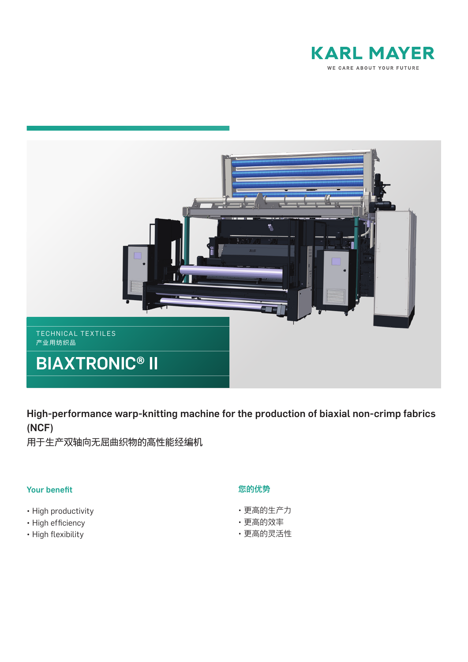



High-performance warp-knitting machine for the production of biaxial non-crimp fabrics (NCF)

用于生产双轴向无屈曲织物的高性能经编机

# Your benefit

- High productivity
- High efficiency
- High flexibility

# 您的优势

- 更高的生产力
- 更高的效率
- 更高的灵活性